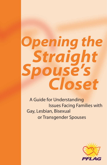# *Opening the Straight Spouse's Closet*

A Guide for Understanding Gay, Lesbian, Bisexual Issues Facing Families with or Transgender Spouses

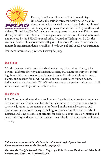

Parents, Families and Friends of Lesbians and Gays (PFLAG) is the nation's foremost family-based organization committed to the civil rights of gays, lesbians, bisexual Parents, Families and Friends of Lesbians and Gays and transgender persons. Founded in 1973 by mothers and

fathers, PFLAG has 200,000 members and supporters in more than 500 chapters throughout the United States. This vast grassroots network is cultivated, resourced and serviced by the PFLAG national office (located in Washington, D.C.), the national Board of Directors and our Regional Directors. PFLAG is a tax-exempt, nonprofit organization that is not affiliated with any political or religious institution.

For more information, please visit www.pflag.org.

# **Our Vision**

We, the parents, families and friends of lesbian, gay, bisexual and transgender persons, celebrate diversity and envision a society that embraces everyone, including those of diverse sexual orientations and gender identities. Only with respect, dignity and equality for all will we reach our full potential as human beings, individually and collectively. PFLAG welcomes the participation and support of all who share in, and hope to realize this vision.

### **Our Mission**

PFLAG promotes the health and well-being of gay, lesbian, bisexual and transgender persons, their families and friends through: support, to cope with an adverse society; education, to enlighten an ill-informed public; and advocacy, to end discrimination and to secure equal civil rights. Parents, Families and Friends of Lesbians and Gays provides opportunity for dialogue about sexual orientation and gender identity, and acts to create a society that is healthy and respectful of human diversity.

*This book was produced in collaboration with the Straight Spouse Network. For more information on the Network, see page 15.*

*Opening the Straight Spouse's Closet***. Copyright 1994. Parents, Families and Friends of Lesbians and Gays, Inc. Reprinted 2006.**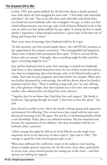#### **"His Greatest Gift to Me"**

In May 1982, Jane spoke publicly for the first time about a deeply personal issue with which she had struggled for some time. "I feel shaky and vulnerable and alone," she said. "Just as you felt alone and vulnerable and afraid when you found out your husband, wife, son or daughter was gay; or when you first risked telling someone you were gay and a look of horror flickered in his or her eyes; or when you first spoke publicly for gay rights. In facing the fear to speak openly, I experience a deep strength and power, a great sense of freedom out of doing and being what I must."

After seven years of marriage, Jane's husband told her he is gay.

"At that moment, our lives turned upside down," she told PFLAG members at the organization's first annual convention. "The unimaginable had happened. Thirty years of dearly held assumptions blew apart. 'If this is real and all the former rules are untrue,' I thought, 'then everything might be false and then again, everything might be true.'"

Jane and her husband tried to open their marriage to include her husband's male lover, as they isolated themselves from the rest of their world and told no one what was happening. Jane tried therapy, only to feel blameworthy and invisible. Then Jane became pregnant, and sunk further into despair. When Jane was further devastated by a miscarriage, she told her doctor about her family's situation and her fears. "There is nothing wrong with you," he said, offering her a first glimmer of hope. Jane then reached out to her sister and estranged mother, who embraced her and helped her seek a divorce.

"Together they let me know that I had their love and support. 'My family is beside me,' kept going through my head. 'I don't have to face this alone,'" she said.

Jane moved to another town, where she found a therapy group and supportive environment for reflecting. Over several years, Jane coped with her pain and discovered meaning in her life again. She and her ex-husband gradually rebuilt a new friendship. Today, Jane is an ordained minister. She has remarried and become the stepmother of two children. Her deep friendship with her exhusband, John, continues.

"John's courage the night he told me he loved Martin was the single most important factor in my discovery of what truth is," Jane said in 1982. "His courage to speak his truth was his greatest gift to me."

When Jane addressed the conference, many in the audience were hearing about a straight spouse's experience for the first time. Since then, particularly in recent years, more married people are coming out of the closet – and their spouses are looking for support.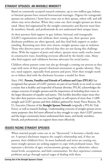#### **STRAIGHT SPOUSES: AN INVISIBLE MINORITY**

Based on commonly accepted research estimates, up to two million gay, lesbian, or bisexual spouses have entered heterosexual marriages. (Figures for transgender spouses are unknown.) Some have come out to their spouse, others will, and still others may never disclose. When they come out, their straight spouses are devastated. Many feel stigmatized by the straight community and discover most family members, friends, and professionals do not understand their unique issues.

As their partners find support in gay, lesbian, bisexual, and transgender (GLBT) organizations and celebrate their coming out, their spouses' postdisclosure problems are often ignored, and they find little support or understanding. Retreating into their own closets, straight spouses cope in isolation. Those who discover peers are relieved that they are not facing this challenge alone. With the support of peers and others, spouses more easily resolve issues in constructive ways, benefiting everyone affected by the family crisis. Many who find support and validation become advocates for social justice.

Children whose parents come out also go through a coming out process as they cope with news of their parent's disclosed orientation or gender identity. They, too, need support, especially from parents and peers. How their straight mothers or fathers deal with the disclosure becomes a model for them.

Since 1981, **Parents, Families and Friends of Lesbians and Gays (PFLAG)** has recognized that spouses of GLBT partners are part of our family as we work to create a society that is healthy and respectful of human diversity. PFLAG acknowledges the unique concerns of straight spouses and the importance of including their voices in the larger discussion of equality and justice. This booklet describes major issues they face after their partners come out, based largely on self-reports of more than 11,000 straight and GLBT spouses and their children gathered by Amity Pierce Buxton, Ph. D., Executive Director of the **Straight Spouse Network** (originally a PFLAG Task Force), as well as research findings. Understanding concerns of straight spouses serves many purposes: they feel more affirmed as they struggle to cope, their GLBT partners and the larger community better understand their issues, and family members, friends, and professionals can support them more effectively.

# **ISSUES FACING STRAIGHT SPOUSES**

When married people come out or are "discovered," it becomes a family matter. A spouse's disclosure impacts the couple's relationship and, if they are parents, their children's lives. As more husbands and wives are coming out, more straight spouses are seeking support to cope with profound issues. They represent a diversity of ages, socioeconomic groups, races, ethnicities, educational levels, occupations, and faith communities. Yet they experience common problems and go through typical stages of dealing with them.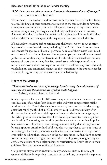#### **Disclosed Sexual Orientation or Gender Identity**

#### *"I felt I was not an adequate man. It completely destroyed my self image."*  — Dan, husband of a lesbian wife

The mismatch of sexual orientation between the spouses is one of the first issues to arise. Finding out their partners are attracted to the same gender or have had same-gender encounters makes most feel rejected sexually. Many blame themselves as being sexually inadequate and feel they are less of a man or woman. Some fear that they may have become sexually dysfunctional or doubt that they will ever date or have sex again. Others question their own sexual identity.

If husbands were active before coming out, their wives worry about contracting sexually transmitted diseases, including HIV/AIDS. These fears are often less intense for spouses of bisexual partners, because of their mates' continued sexual attraction to them. Spouses of transgender partners face different sexual problems. Since they may not have to deal with a different sexual orientation, spouses of cross dressers may face few sexual issues, while spouses of transsexual mates worry about consequences on their sexual intimacy from physical, psychological, and emotional changes as they transition to the opposite gender and couple begins to appear as a same-gender relationship.

## **Future of the Marriage**

### *"We've survived seven years of marriage by tolerating the ambivalence of what we are and the uncertainty of what could happen."*

— Barbara, wife of a bisexual husband

Straight spouses, like their GLBT partners, question whether the marriage can continue and, if so, what form is might take and what compromises might need to be made. Conclusive data does not exist, but anecdotal evidence suggests that roughly a third of all GLB-straight couples divorce quickly after disclosure, because of the straight spouses' anger or desire for monogamy, or the GLB spouses' desire to live their lives honestly or to enter a same-gender relationship. Pre-existing relationship problems may also cause a breakup. Lesbian wives more often leave their marriages more quickly than do gay men or bisexual spouses. Another third of all couples stay together to sort out issues of sexuality, gender identity, monogamy, fidelity, and alternative marriage forms, eventually deciding that separation is the best resolution. A final third commit to continuing their marriages because of their abiding love, a long history together, the quality of their relationship, or satisfaction in family life with their children. Few stay because of financial reasons.

Couples who stay married encounter many obstacles such as the straight spouses' difficulty in regaining trust, lack of marital sex, or negativity expressed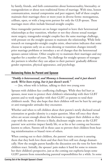by family, friends, and faith communities about homosexuality, bisexuality, or transgenderism or about non-traditional forms of marriage. With time, honest communication, mutual compromise and peer support, half of these couples maintain their marriages three or more years in diverse forms: monogamous, celibate, open, or with a long-term partner for only the GLB spouse. These marriages more often include bisexual-straight couples.

Since transgender partners are no longer required to leave their heterosexual relationships as they transition, whether or not they choose sexual reassignment surgery, transgender-straight couples face the same marriage challenge, with pressure on the straight spouses to maintain the relationship. While little research on transgender-straight couples exists, observation indicates that some choose to separate early on as cross-dressing or transition changes intensify prior marriage problems or introduce a set of changes that the heterosexual spouses cannot tolerate. Other couples try to maintain their marriages and stay together for a number of years. The challenge for straight spouses of transgender partners is whether they can adjust to their partners' gradually different gender expression, physical appearance, and psychology.

# **Balancing Roles As Parent and Spouse**

#### *"Daddy is heterosexual, and Mommy is homosexual, and it just doesn't work. We've been trying, but it just doesn't work."*

— Jim, whose wife is lesbian, talking to their two young sons

Spouses with children face conflicting challenges. While they feel hurt as spouses, most want to protect their children's relationship with their GLBT parents and to work together with their GLBT co-parents to tend their children's needs. They also hope that their children will not be hurt by anti-gay or anti-transgender attitudes they encounter.

Whether and when to tell children about their parent's newly disclosed sexual orientation or gender identity is a major question. Most tell once they themselves are secure enough about the disclosure to support their children as they cope with the news. If divorce is likely, disclosure might come as the GLBT parents' new activities impact family life, or as his or her coming out becomes known to others. Parents tell in those cases to prevent their children from hearing misinformation or biased views of others.

When coming out to their children, the parents' main concern is assuring them that they both love them and that their lives will not change dramatically. How the straight parent handles the discussion sets the tone for how their children react. Initially, the spouses' pain makes it hard for some to remember their children's perspective, just as the coming out euphoria keeps some GLBT parents from remembering parental responsibilities for a while. In some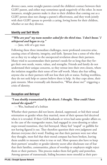divorce cases, some straight parents curtail the children's contact between their GLBT parent, and either may sometimes speak negatively of the other. In most instances, straight parents make it clear to their children that coming out as a GLBT person does not change a parent's effectiveness, and they work jointly with their GLBT spouse to provide a caring, loving home for their children, whether or not they divorce.

#### **Identity and Self Worth**

# *"'Who are you?' my team member asked for the third time. 'I don't know.' I whispered and began to cry."*

— Jane, wife of a gay man

Following these three immediate challenges, more profound concerns arise, causing crises of identity, integrity, and faith. Spouses lose a sense of who they are as they try to adapt to the unexpected revelation about their partners. Many tried to accommodate their partner's needs for so long that they forget their own needs, wants, values, and strengths. Friends and family do not understand their unique concerns, so they retreat into their own closets, where the isolation magnifies their sense of low self worth. Many also fear telling anyone else so their partners will not lose their job or status. Feeling worthless, they do not seek help or cannot believe there is help. As they cope alone, their pain mounts. Most eventually ask themselves, "What about me?" triggering a crisis of identity.

#### **Deception and Betrayal**

#### *"I was doubly traumatized by the deceit. I thought, 'How could I have missed the signals?'"*

— Wes, husband of a lesbian

Whether their partners did not know, denied, suppressed, or hid their sexual orientation or gender when they married, most of their spouses feel deceived when it is revealed. If their GLB husbands or wives had same-gender affairs or, in the case of the transgender mates, had engaged in cross-dressing or taken steps toward transition, they feel betrayed. Many feel "stupid" or gullible for not having figured it out. They therefore question their own judgment and distrust everyone else's word. Finding out that their partners were not what they thought, most feel that their moral compass has been broken, leaving them unable to measure what is true or real. Most spouses also have to keep their partners' sexuality or gender identity secret after disclosure out of fear that their families, communities, places of worship or employers might reject them or their partners. This process makes them feel guilty and powerless. Among spouses of transsexuals, hiding becomes more stressful as their part-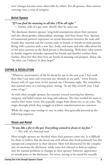ners' changes become more observable by others. For all spouses, these stresses converge into a crisis of integrity

### **Belief System**

#### *"If I can find the meaning in all this, I'll be all right."*

— Emma, wife of a gay man, shortly after he came out.

The disclosure shatters spouses' long-held assumptions about their partners and also about gender, relationships, marriage, and their future lives. Spouses of transsexual partners experience an actual disconnect between the male and female they married and the current male-to-female or female-to-male partner. Being with a partner with a new face, body, and name and who talks about his or her prior persona in the third person is disorienting. With their value system in shreds, negative attitudes expressed by friends and families confuse them further. Most feel that their lives are bereft of meaning and purpose. Many ask, "In what can I believe? Is there hope?"

# **COPING & RESOLUTION**

"Whatever uncertainties of life lie ahead for me in the new year, I feel confident that I can meet and overcome any obstacle in my path," wrote Kristin, former wife of a gay man, in her journal one Christmas night. She remembers that journal entry as a turning point, noting. "In my fifty-seventh year, I had come of age."

As with other straight spouses, her journey toward restoring her identity, integrity, and belief system was long and arduous. The time needed for most to resolve their issues varies, but typically ranges from about two to six years. The stages through which they struggle to achieve transformation are common.

While the stages may overlap or vary in order, they generally proceed in the following sequence:

### **Shock and Relief**

*"It was like a fist to the gut. Everything seemed to drain to my feet."* — Siri, wife of a bisexual man

Most straight spouses are shocked when their partners come out. It is difficult for them to believe that the loved one with whom they lived intimately has this unexpected component to their identity. Most feel disoriented by the complex mix of emotions the disclosure, while some feel relieved to find an explanation for marital problems or changes in their spouses' behavior, appearance or moods prior to the disclosure. For wives, having to be tested for sexually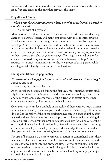transmitted diseases because of their husband's same-sex activities adds confusion, fear, and anger to the hurt that pervades this stage.

#### **Empathy and Denial**

#### *"When I saw the anguish in David's face, I tried to console him. We tried to console each other."*

— Carol, wife of a gay man

Many spouses experience a period of increased sexual intimacy now that they share their partners' secret, and many empathize with their identity struggle. This increased closeness encourages hope for an improved and lasting relationship. Positive feelings often overshadow the hurt and cause them to deny implications of the disclosure. Some blame themselves for not being sexually attractive to their partners or minimize their own feelings as they try to adjust to their partners' sexuality or gender change. This stage is marked by a roller coaster of contradictory emotions, such as empathy/anger or hope/fear, as spouses try to understand and relate to the new aspect of their partner while carrying on with family, work and social obligations.

#### **Facing and Acknowledging Reality**

#### *"My dreams of a happy family were shattered, and there wasn't anything I could do about it."*

— Grant, husband of a lesbian

As the initial shock wears off during the first year, most straight spouses gradually become aware of the impact of the disclosure on themselves, the marriage and family life. Some become aware of the extent of its effects only as they experience depression, illness or physical breakdown.

Once aware, they can look candidly at the reality of their partner's sexual orientation or gender identity, their own pain, and changes in the marriage. Those who do not face the reality of their post-disclosure lives stay in a state of limbo, often marked with continued bouts of anger, depression or illness. Acknowledging the effects on themselves prompts most to take responsibility for taking care of their own physical, mental and spiritual health, often with therapeutic help. Learning about homosexuality, bisexuality, or transgenderism helps them to realize that their partners will not revert to being heterosexual or their previous gender.

Spouses of bisexuals have a more complex situation to comprehend since their mates are still attracted to them as well as to persons of the same gender, and bisexuality does not fit into the prevalent either/or way of thinking. Spouses of cross dressing partners face periodic changes of their partners' behavior and appearance, and those of transsexuals realize they face long-term physical, psychological, and emotional changes.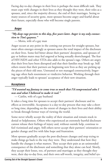Facing day-to-day changes in their lives is perhaps the most difficult task. They must cope with changes in their lives as they thought they were, their roles as a spouses, and, since the majority divorce, the end of their marriages. Seeing so many sources of security gone, most spouses become angry and fearful about their future, especially those who will become single parents.

#### **Anger**

# *"My deep rage persists to this day, five years later. Anger is my only connection to Tim's gayness."*

— Moira, wife of a gay man

Anger occurs at any point in the coming out process for straight spouses, but most often emerges strongly as spouses assess the total impact of the disclosure on their lives. Some feel bitter about their partners' deception, and spouses of gay or lesbian mates may feel angered at being sexually shortchanged. The fear of HIV/AIDS and other STDs also adds to the spouse's rage. Others are angry that their lives have been disrupted and that their families may break up. Still others resent that their partners are beginning new lives as they are picking up the pieces of their old ones. Untreated or not managed constructively, lingering rage often fuels resentment or vindictive behavior. Working through their anger typically leads to spouses' acceptance of their new situation.

#### **Acceptance**

#### *"I'd wanted my fantasy to come true so much that I'd compromised who I was and what I believed to make it real."*

— Caitlin, wife of a gay husband

It takes a long time for spouses to accept their partners' disclosure and its effects as irreversible. Acceptance is a day-to-day process that may take a short or long time, depending on the extent of changes in their lives and their ability to break through former ways of viewing the world.

Some never wholly accept the reality of their situation and remain stuck in denial or helplessness. Others who experienced an extremely hurtful disclosure cannot release their feelings of injury and, without outside help, continue to feel victimized and angry. Still others never accept their partners' orientation or gender change and live with false hope and frustration.

Most spouses gradually accept the post-disclosure changes and stop trying to make things go back to the way they were. They understand that how they handle the changes is what matters. They accept their pain as an unintended consequence of the disclosure and something that they alone can heal. Slowly, they accept their losses, too, of partners and marriages as they thought they were, their day-to-day lives, and their own self-worth, integrity, and belief sys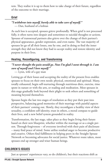tem. They realize it is up to them how to take charge of their future, regardless of the outcome to their marriage.

## **Grief**

# *"I withdrew into myself, barely able to take care of myself."*

— Dan, husband of a lesbian

As each loss is accepted, spouses grieve profoundly. When grief is not processed fully, it often turns into despair and sometimes to suicidal thoughts or actions. Spouses of transsexual partners also grieve over the change of their partner's physical appearance, gender expression, and even name. The vast majority of spouses let go of all their losses, one by one, and in doing so find the inner strength they did not know they had to accept reality and restore identity and purpose in their lives.

# **Healing, Reconfiguring, and Transforming**

# *"I never thought the pain would go. Now I'm glad I went through it. I am sure of myself and I love myself."*

— Lynn, wife of a gay man

Letting go of their losses and accepting the reality of the present lives enables spouses to focus on their own needs: physical, emotional and spiritual. Many, totally exhausted, begin self-nurturing through nutritious diets, exercise, time spent in nature or with the arts, or reading and meditation. Most spouses in this stage gradually look beyond their plight to seek others and something of meaning beyond themselves.

Spouses begin the last two stages of resolution as they put their past into perspective, balancing good memories of their marriage with painful aspects of their partners' coming out. Slowly, they reconfigure a healthy view of their sexuality, a confident self-identity, trust in others, a moral compass to guide their lives, and a new belief system grounded in reality.

Transformation, the last stage, takes place as they begin living their future based on their new blueprint, whether within the marriage or as a single person. Through forgiveness – of everyone involved with their pain of disclosure – many find peace of mind. Some utilize residual anger to become productive and creative. Others find fulfillment in helping peers in the Straight Spouse Network or becoming advocates for social justice. Whatever route taken, most spouses end up stronger and wiser human beings.

# **CHILDREN'S ISSUES**

Just as spouses' experiences vary, so do children's, but their reactions shift as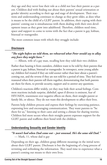they age and they never lose their role as a child nor lose their parent as a parent. Children deal with finding out about their parents' sexual orientation or gender identity according to their age and stage of development. Their reactions and understanding continues to change as they grow older, as does what is means to be the child of a GLBT parent. In addition, their coping with their parents' coming out is simultaneous with them dealing with their own development issues as they grow into adulthood. Therefore, children need time, space and support to come to terms with the fact that a parent is gay, lesbian, bisexual or transgender.

The most common issues with which they struggle include:

### **Disclosure**

#### *"The night before we told them, we rehearsed what Peter would say to allay any fears they might have."*

— Allison, wife of a gay man, recalling how they told their two children

Rather than hearing it from outsiders, children want to be told by their parents that a parent is gay, lesbian, bisexual or transgender. In retrospect, some young adults say children feel trusted if they are told sooner rather than later about a parent's coming out, and the reverse if they are not told for a period of time. They feel more reassured when their parents tell them together, demonstrating that both parents are there for them, to provide security, support and to answer any questions.

Children's reactions differ widely, yet they may hide their actual feelings. Common reactions include surprise, disbelief, upset if divorce is eminent, fear of HIV/AIDS, resentment over negative effects on them, their straight parent or family life, or silence. They do not want this development to affect their lives.

Parents help children process and express their feelings by exercising patience, expressing love and encouraging communication. They want parents to "be there for us," listening to their cares and setting a climate for sharing worries. Children feel more secure when their straight parent expresses support for the GLBT parent and reaffirms their bond with the children.

# **Understanding Sexuality and Gender Identity**

#### *"It wasn't bad when Dad came out – just unusual. He's the same old Dad."* — Mark, 11, whose dad is gay

Depending on their age, children grasp different meanings in the initial news about their GLBT parent. Disclosure is but the beginning of a long process of revisiting and rethinking the information. They need time to experience what a parent's coming out means to their own lives.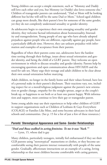Young children can accept a simple statement, such as "Mommy and Daddy still love each other and you, but Mommy (or Daddy) also loves someone else." Children of transgender parents can understand, "Dad or Mom will be looking different but he/she will still be the same Dad or Mom." School-aged children can grasp more details, like their parent's love for someone of the same gender, yet they do not completely understand sexuality or gender identity.

As adolescents begin to experience their own emerging sexuality and gender identity, they welcome factual information about homosexuality, bisexuality and transgenderism. Young people of any age who have already adopted prejudices against people who are different, especially against gay people, have a particularly difficult time. However, they can unlearn prejudice with information and examples of acceptance from their parents.

Regardless of when their parents come out, adolescents have the hardest time sorting through their feelings, issues about sexual orientation and gender identity, and being the child of a GLBT parent. They welcome an open environment in which to discuss sexuality and gender identity. Parents help by encouraging questions and open communication about HIV/AIDS and the need for safe sex. Many urge their teenage and adult children to be clear about their own sexual orientation before marrying.

Adult children, no longer in the family home and their values formed, have less of a personal stake in their parent's disclosure. Their reactions vary, too, including respect for or a moral/religious judgment against the parent's new orientation or gender change, empathy for the straight spouse, anger at the couple's break up, or happiness to see both or at least one parent happy. With information and support, most continue to love their gay or transgender parent.

Some young adults may use their experiences to help other children of GLBT in support organizations such as Children of Lesbians & Gays Everywhere (COLAGE) or Families Like Mine, and some become advocates in their local schools and communities. (See p. 15 for a list of just a few of these resources.)

#### **Parents' Stereotypical Appearance and Same- Gender Relationships**

#### *"Dad and Buzz walked in acting feminine. To me it was 'Yuck.'"*

— Lynn, 15, whose dad is gay

Many children, particularly teenagers, initially feel embarrassed if they see their GLB parents using "stereotypical" mannerisms or clothes, or they become uncomfortable seeing their parents interact romantically with people of the same gender. Gradually, affectionate interactions set an example of a caring, loving relationship so that most children become comfortable with caring gestures,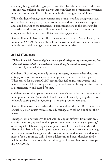and enjoy being with their gay parent and their friends or partners. If the parents divorce, children see that daily routines in their gay or transgender parent's home are not much different from those in their straight parent's home.

While children of transgender parents may or may not face changes in sexual orientation of their parent, they encounter more dramatic changes in appearance and behavior as the transgender parent transitions to the other gender. Nevertheless, they, too, gradually accept and relate to their parents as they always knew them under the different external appearance.

Some children of divorced GLBT parents grow up in what Stefan Lynch, cofounder of COLAGE, calls a "bi-cultural" environment because of experiences in both the straight and gay or transgender communities.

# **Anti-GLBT Attitudes**

*"When I was 10, I knew 'fag' was not a good thing to say about people, but I did not know what it meant and never thought about meeting one."* — Jo, 11, whose dad is gay

Children's discomfort, especially among teenagers, increases when they hear anti-gay or anti-trans remarks, either in general or directed at their parent. When teased for having a GLBT parent, they feel angry, embarrassed, and rejected. Some children are presumed by schoolmates to be gay, lesbian, bisexual or transgender, and teased for that.

Children rely on their parents to correct the misinformation and ignorance of homophobic taunts. Parents help build their confidence by giving them tools to handle teasing, such as ignoring it or making counter remarks.

Some children lose friends when they find out about their GLBT parent. Fear of such rejection causes many, especially teenagers, to tell no one about their parents.

Teenagers, who particularly do not want to appear different from their peers and fear rejection, appreciate their parents not being overly "gay-appearing" or having GLBT books magazine or photos visible in their home when their friends visit. Not talking with peers about their parents or concerns can magnify these negative feelings, and the isolation may interfere with the development of social intimacy skills. Some adolescents and teens therefore find it helpful to share concerns with peers through online and face-to-face groups like COLAGE.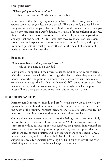#### **Family Breakups**

#### *"Who is going to take care of us?"*

— Sue, 5, and Ginnie, 9, whose mom is a lesbian

It is estimated that the majority of couples divorce within three years after a spouse comes out as gay, lesbian or bisexual. (There are no figures available for straight-transgender couples). For most children of divorcing couples, the separation is worse than the parent's disclosure. Typical of most children of divorce, they experience a sense of abandonment, conflict of loyalties and separation anxiety. That one parent is GLBT intensifies these reactions. For this reason alone, they need explicit assurance of love, open communication, and support from both parents and quality time with each of them, and observation of positive interaction between them.

#### **Resolution**

*"I love you. You are always in my prayers."* — Jeff, 18, in a note to his gay dad

With parental support and their own resilience, most children come to terms with their parents' sexual orientation or gender identity when they reach adulthood. Those who find peers with whom to share have an easier time. While some may not accept the fact that they have a GLBT parent, most respect their parents' honesty and courage in coming out. Although not all are supportive, most still love their parents and value their relationship with them.

### **HOW OTHERS CAN HELP**

Partners, family members, friends and professionals may want to help straight spouses, but they often do not understand the unique problems they face or the depth of their trauma. Spouses therefore tend to isolate themselves, fearing rejection or assuming no one understands their unique problems.

Coping alone, many become stuck in negative feelings, and some do not fully recover from the disclosure. However, most do. While healing and growth come from within, outside support can reinforce the process. Family members, partners and friends are in a position to provide day-to-day support that can help them accept their situation and to encourage them to take steps to heal, resolve their issues, and reconfigure their lives in a forward direction. Peer support is especially beneficial, providing first hand experience with the overwhelming emotions and complex challenges spouses face.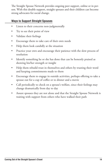The Straight Spouse Network provides ongoing peer support, online or in person. With this double support, straight spouses and their children can become strong advocates for social change.

#### **Ways to Support Straight Spouses**

- Listen to their concerns non-judgmentally •
- Try to see their point of view •
- Validate their feelings •
- Encourage them to take care of their own needs •
- Help them look candidly at the situation •
- Practice your own and encourage their patience with the slow process of resolution •
- Identify something he or she has done that can be honestly praised as showing his/her strength or insight •
- Help them rebuild trust in themselves and others by trusting their word and keeping commitments made to them •
- Encourage them to engage in outside activities, perhaps offering to take a spouse out for a cup of coffee or to dinner and a movie •
- Call periodically to check on a spouse's welfare, since their feelings may change dramatically from day to day  $\bullet$
- Assure spouses they are not alone and that the Straight Spouse Network is waiting with support from others who have walked their path •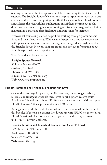# **Resources**

Sharing concerns with other spouses or children is among the best sources of support. The Straight Spouse Network can help put spouses in touch with one another, and often with support groups (both local and online). In addition to a newsletter, the Network has publications on a father's coming out to children, custody issues, straight spouse coming out issues and stages of resolution, maintaining a marriage after disclosure, and guidelines for therapists.

Professional counseling is often helpful for working through profound emotions and their identity crisis. While many therapists do not have experience with spouses in mixed orientation marriages or transgender-straight couples, the Straight Spouse Network support groups can provide information about local therapists with such experiences.

The Network can be reached at:

#### **Straight Spouse Network**

33 Linda Avenue, #2607 Oakland, CA 94611 **Phone:** (510) 595-1005 **E-mail:** dir@straightspouse.org **Web:** www.straightspouse.org

#### **Parents, Families and Friends of Lesbians and Gays**

One of the best ways for parents, family members, friends of gay, lesbian, bisexual and transgender people themselves to get support, receive educational materials and learn about PFLAG's advocacy efforts is to visit a chapter. PFLAG has over 500 chapters located in all 50 states.

We suggest you call the local chapter whose name is stamped on the back of this booklet. If there is no chapter listed, you can visit PFLAG on the web, call PFLAG's national office for a referral, or you can use directory assistance to find PFLAG in your local area.

#### **Parents, Families and Friends of Lesbians and Gays (PFLAG)**

1726 M Street, NW, Suite 400 Washington, DC 20036 **Voice:** (202) 467-8180 **Web:** www.pflag.org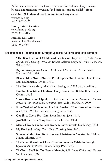Additional information or referrals to support for children of gay, lesbian, bisexual and transgender persons (and their parents) are available from:

#### **COLAGE (Children of Lesbians and Gays Everywhere)**

www.colage.org (415) 861-5437

#### **Family Pride Coalition**

www.familypride.org (202) 331-5015

#### **Families Like Mine**

www.familieslikemine.com (866) 245-4281

# **Recommended Reading about Straight Spouses, Children and their Families**

- **"The Best Interest of Children of Lesbian and Gay Parents,"** *The Scientific Basis for Custody Decisions*, Robert Galatzer-Levy and Louis Kraus, eds. Wiley, 1999. **•**
- **Beyond Acceptance**, Carolyn Griffin and Marian and Arthur Wirth. Prentice-Hall, 1986. **•**
- **Bi any Other Name: Bisexual People Speak Out**, Lorraine Hutchins and Lani Kaahumanu. Alyson, 1991. **•**
- **The Bisexual Option**, Fritz Klein. Harrington, 1993 (second edition). **•**
- **Families Like Mine: Children of Gay Parents Tell It Like It Is,** Harper Collins, 2004. **•**
- **"From Hostile to Helpful,"** Amity Pierce Buxton, in *Homefronts: Controversies in Non-Traditional Parentin*g, Jess Wells, eds. Alyson, 2000. **•**
- **From Wedded Wife to Lesbian Life: Stories of Transformation**, Deborah Abbott & Ellen Farmer, Crossing Press, 1995. **•**
- **Goodbye, I Love You**, Carol Lynn Pearson. Jove, 1989. **•**
- **Just Tell the Truth**, Terry Norman. Prehension 1998 **•**
- **Married Women Who Love Women**, Carren Strock. Doubleday, 1998. **•**
- **My Husband is Gay**, Carol Gray. Crossing Press. 2001. **•**
- **Stranger at the Gate: To Be Gay and Christian in America**, Mel White. Simon Schuster, 1994. **•**
- **The Other Side of the Closet: The Coming-Out Crisis for Straight Spouses**, Amity Pierce Buxton. Wiley, 1994 (rev.). **•**
- **The Truth Shall Set You Free: A Memoir**, Sally Lowe Whitehead. Harper San Francisco, 1997. **•**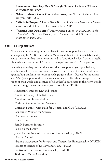- **Uncommon Lives: Gay Men & Straight Women**, Catherine Whitney. New American, 1990. **•**
- **When Husbands Come Out of the Closet**, Jean Schaar Gochros. Harrington Park, 1989. **•**
- **"Works in Progress"** Amity Pierce Buxton, in *Current Research in Bisexuality*, Ronald C. Fox, eds. Harrington Park, 2004. **•**
- **"Writing Our Own Script,"** Amity Pierce Buxton, in *Bisexuality in the Lives of Men: Facts and Fictions*, Brett Beemyn and Erich Steinman, eds. Harrington Park, 2001. **•**

#### **Anti-GLBT Organizations**

There are a number of groups that have formed to oppose basic civil rights and equality for GLBT individuals. Many are difficult to immediately identify since they claim that they are committed to "traditional values," when in reality they advocate for harmful "reparative therapy" and anti-GLBT legislation.

Knowing who they are and the harms that they pose to your gay, lesbian, and bisexual loved ones is critical. Below are the names of just a few of these groups. You can learn more about such groups online – People for the American Way (www.pfaw.org) has a resource center that lists these groups, descriptions of their work, and archives of what they've advocated in their own words. You can also get news on these organizations from PFLAG.

American Center for Law and Justice American College of Pediatricians American Family Association Christian Communication Network Christian Families with Faith for Lesbians and Gays (CFLAG) Concerned Women for America Courage/Encourage Eagle Forum Family Research Institute Focus on the Family Jews Offering New Alternatives to Homosexuality (JONAH) Liberty Counsel National Association for Research and Therapy for Homosexuality (NARTH) Parents & Friends of Ex-Gays and Gays, (PFOX) Positive Alternatives to Homosexuality (PATH) Traditional Values Coalition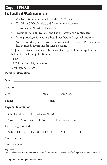# **Support PFLAG**

# **The Benefits of PFLAG membership:**

- A subscription to our newsletter, the PFLAGpole •
- The PFLAG Weekly Alert and Action Alerts via e-mail •
- Discounts on PFLAG publications •
- Invitations to local, regional and national events and conferences •
- Voting privileges for national board members and regional directors •
- Satisfaction that you are part of the nationwide network of PFLAG families an friends advocating for GLBT equality •

To join as an at-large member, visit www.pflag.org or fill in the application below and mail the application to:

# **PFLAG**

1726 M Street, NW, Suite 400 Washington, DC 20036

# **Member Information:**

| <b>Payment Information:</b>                                                   |
|-------------------------------------------------------------------------------|
| $\Box$ Check enclosed made payable to PFLAG.                                  |
| $\Box$ Visa $\Box$ Mastercard $\Box$ Discover $\Box$ American Express         |
| Please charge my card:                                                        |
| $\Box$ \$50 $\Box$ \$75 $\Box$ \$100 $\Box$ \$250 $\Box$ \$500 $\Box$ \$1,000 |
|                                                                               |
|                                                                               |
|                                                                               |

#### *Important:*

*The member name and address must match what appears on your credit card billing statement to be processed.*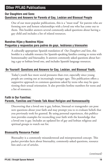# **Other PFLAG Publications**

#### **Our Daughters and Sons: Questions and Answers for Parents of Gay, Lesbian and Bisexual People**

One of our most popular publications, this is a "must read" for parents who are forming new and honest relationships with a loved one who has come out to them. This booklet answers several commonly-asked questions about having a gay child and includes a list of related resources.

#### **Nuestras Hijas y Nuestros Hijos: Preguntas y respuestas para padres de gays, lesbianas y bisexuales**

A culturally appropriate Spanish translation of *Our Daughters and Sons*, this booklet is a valuable resource for Spanish-speaking families coming to terms with homosexuality and bisexuality. It answers commonly asked questions about having a gay or lesbian loved one, and includes Spanish language resources.

#### **Be Yourself: Questions and Answers for Gay, Lesbian, and Bisexual Youth.**

Today's youth face more social pressures than ever, especially since young people are coming out at increasingly younger ages. This publication offers a supportive approach to common questions asked by teens who may be questioning their sexual orientation. It also provides hotline numbers for teens and a list of resources.

#### **Faith in Our Families: Parents, Families and Friends Talk About Religion and Homosexuality**

Discovering that a loved one is gay, lesbian, bisexual or transgender can pose new questions about your faith and may prompt you to re-evaluate beliefs that you previously took for granted. By using personal experiences, this publication provides examples for reconciling your faith with the knowledge that a loved one is gay. Includes an updated list of gay and lesbian religious and spiritual groups to watch out for.

#### **Bisexuality Resource Packet**

Bisexuality is a commonly misunderstood and misrepresented concept. This packet provides facts about bisexuality, commonly-asked questions, resource lists and a set of articles.

*(continued)*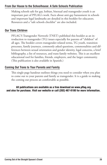#### **From Our House to the Schoolhouse: A Safe Schools Publication**

Making schools safe for gay, lesbian, bisexual and transgender youth is an important part of PFLAG's work. Facts about anti-gay harassment in schools and important legal landmarks are detailed in this booklet for educators. Resources and a "safe schools checklist" are also included.

## **Our Trans Children**

PFLAG'S Transgender Network (TNET) published this booklet as an introduction to transgender (TG) issues especially for parents of "children" of all ages. The booklet covers transgender-related terms, TG youth, transition processes, family journeys, commonly asked questions, commonalities and differences between sexual orientation and gender identity, legal concerns, a brief bibliography, a list of resources, and trans family websites. This is an excellent educational tool for families, friends, employers, and the larger community. (This publication is also available in Spanish.)

# **Coming Out Trans to Your Parents and Family**

This single-page handout outlines things you need to consider when you plan to come out to your parents and family as transgender. It is a guide to making the coming out process an comfortable as possible.

All publications are available as a free download on www.pflag.org and also for purchase. Visit our website or call (202) 467-8180 for more information.